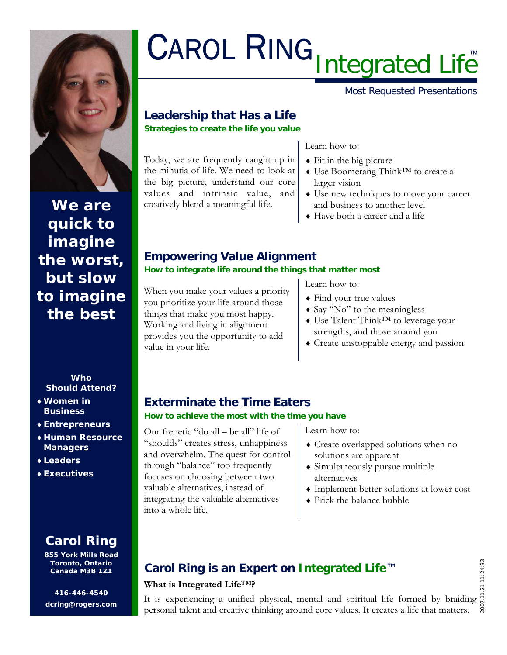

# **We are quick to imagine the worst, but slow to imagine the best**

#### **Who Should Attend?**

- ♦ **Women in Business**
- ♦ **Entrepreneurs**
- ♦ **Human Resource Managers**
- ♦ **Leaders**
- ♦ **Executives**

# **Carol Ring**

**855 York Mills Road Toronto, Ontario Canada M3B 1Z1** 

**416-446-4540 dcring@rogers.com** 

# CAROL RING Integrated Life™

Most Requested Presentations

# **Leadership that Has a Life Strategies to create the life you value**

Today, we are frequently caught up in the minutia of life. We need to look at the big picture, understand our core values and intrinsic value, and creatively blend a meaningful life.

#### Learn how to:

- $\triangle$  Fit in the big picture
- ♦ Use Boomerang Think™ to create a larger vision
- ♦ Use new techniques to move your career and business to another level
- ♦ Have both a career and a life

## **Empowering Value Alignment How to integrate life around the things that matter most**

When you make your values a priority you prioritize your life around those things that make you most happy. Working and living in alignment provides you the opportunity to add value in your life.

Learn how to:

- ♦ Find your true values
- ♦ Say "No" to the meaningless
- ♦ Use Talent Think™ to leverage your strengths, and those around you
- ♦ Create unstoppable energy and passion

# **Exterminate the Time Eaters How to achieve the most with the time you have**

Our frenetic "do all – be all" life of "shoulds" creates stress, unhappiness and overwhelm. The quest for control through "balance" too frequently focuses on choosing between two valuable alternatives, instead of integrating the valuable alternatives into a whole life.

Learn how to:

- ♦ Create overlapped solutions when no solutions are apparent
- ♦ Simultaneously pursue multiple alternatives
- ♦ Implement better solutions at lower cost
- ♦ Prick the balance bubble

# **Carol Ring is an Expert on Integrated Life™**

### **What is Integrated Life™?**

It is experiencing a unified physical, mental and spiritual life formed by braiding  $\frac{1}{6}$ personal talent and creative thinking around core values. It creates a life that matters.

2007.11.21 11:24:33  $11:24:33$